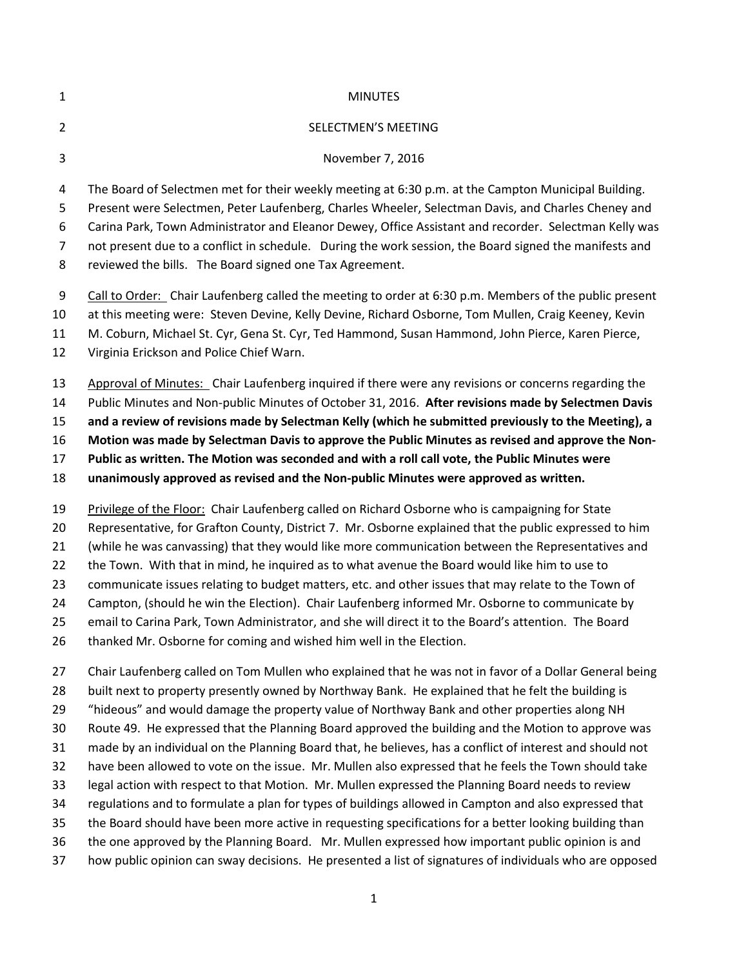| $\mathbf{1}$   | <b>MINUTES</b>                                                                                           |
|----------------|----------------------------------------------------------------------------------------------------------|
| $\overline{2}$ | SELECTMEN'S MEETING                                                                                      |
| 3              | November 7, 2016                                                                                         |
| 4              | The Board of Selectmen met for their weekly meeting at 6:30 p.m. at the Campton Municipal Building.      |
| 5              | Present were Selectmen, Peter Laufenberg, Charles Wheeler, Selectman Davis, and Charles Cheney and       |
| 6              | Carina Park, Town Administrator and Eleanor Dewey, Office Assistant and recorder. Selectman Kelly was    |
| $\overline{7}$ | not present due to a conflict in schedule. During the work session, the Board signed the manifests and   |
| 8              | reviewed the bills. The Board signed one Tax Agreement.                                                  |
| 9              | Call to Order: Chair Laufenberg called the meeting to order at 6:30 p.m. Members of the public present   |
| 10             | at this meeting were: Steven Devine, Kelly Devine, Richard Osborne, Tom Mullen, Craig Keeney, Kevin      |
| 11             | M. Coburn, Michael St. Cyr, Gena St. Cyr, Ted Hammond, Susan Hammond, John Pierce, Karen Pierce,         |
| 12             | Virginia Erickson and Police Chief Warn.                                                                 |
| 13             | Approval of Minutes: Chair Laufenberg inquired if there were any revisions or concerns regarding the     |
| 14             | Public Minutes and Non-public Minutes of October 31, 2016. After revisions made by Selectmen Davis       |
| 15             | and a review of revisions made by Selectman Kelly (which he submitted previously to the Meeting), a      |
| 16             | Motion was made by Selectman Davis to approve the Public Minutes as revised and approve the Non-         |
| 17             | Public as written. The Motion was seconded and with a roll call vote, the Public Minutes were            |
| 18             | unanimously approved as revised and the Non-public Minutes were approved as written.                     |
| 19             | Privilege of the Floor: Chair Laufenberg called on Richard Osborne who is campaigning for State          |
| 20             | Representative, for Grafton County, District 7. Mr. Osborne explained that the public expressed to him   |
| 21             | (while he was canvassing) that they would like more communication between the Representatives and        |
| 22             | the Town. With that in mind, he inquired as to what avenue the Board would like him to use to            |
| 23             | communicate issues relating to budget matters, etc. and other issues that may relate to the Town of      |
| 24             | Campton, (should he win the Election). Chair Laufenberg informed Mr. Osborne to communicate by           |
| 25             | email to Carina Park, Town Administrator, and she will direct it to the Board's attention. The Board     |
| 26             | thanked Mr. Osborne for coming and wished him well in the Election.                                      |
| 27             | Chair Laufenberg called on Tom Mullen who explained that he was not in favor of a Dollar General being   |
| 28             | built next to property presently owned by Northway Bank. He explained that he felt the building is       |
| 29             | "hideous" and would damage the property value of Northway Bank and other properties along NH             |
| 30             | Route 49. He expressed that the Planning Board approved the building and the Motion to approve was       |
| 31             | made by an individual on the Planning Board that, he believes, has a conflict of interest and should not |
| 32             | have been allowed to vote on the issue. Mr. Mullen also expressed that he feels the Town should take     |
| 33             | legal action with respect to that Motion. Mr. Mullen expressed the Planning Board needs to review        |

- regulations and to formulate a plan for types of buildings allowed in Campton and also expressed that
- the Board should have been more active in requesting specifications for a better looking building than
- the one approved by the Planning Board. Mr. Mullen expressed how important public opinion is and
- how public opinion can sway decisions. He presented a list of signatures of individuals who are opposed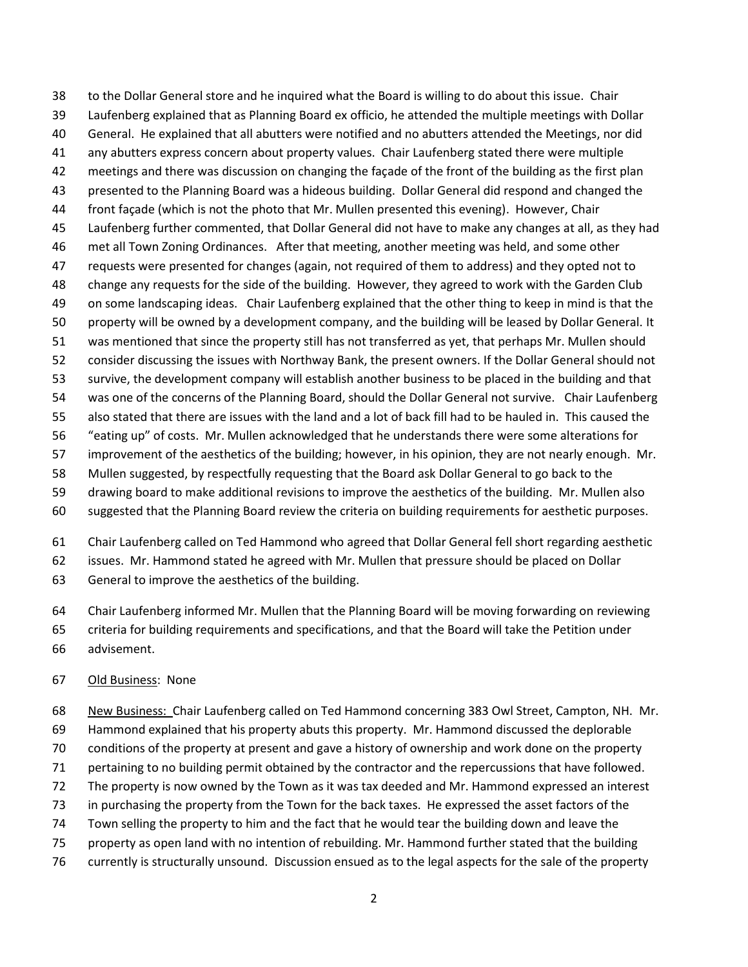to the Dollar General store and he inquired what the Board is willing to do about this issue. Chair Laufenberg explained that as Planning Board ex officio, he attended the multiple meetings with Dollar General. He explained that all abutters were notified and no abutters attended the Meetings, nor did any abutters express concern about property values. Chair Laufenberg stated there were multiple meetings and there was discussion on changing the façade of the front of the building as the first plan presented to the Planning Board was a hideous building. Dollar General did respond and changed the front façade (which is not the photo that Mr. Mullen presented this evening). However, Chair Laufenberg further commented, that Dollar General did not have to make any changes at all, as they had met all Town Zoning Ordinances. After that meeting, another meeting was held, and some other requests were presented for changes (again, not required of them to address) and they opted not to change any requests for the side of the building. However, they agreed to work with the Garden Club on some landscaping ideas. Chair Laufenberg explained that the other thing to keep in mind is that the property will be owned by a development company, and the building will be leased by Dollar General. It was mentioned that since the property still has not transferred as yet, that perhaps Mr. Mullen should consider discussing the issues with Northway Bank, the present owners. If the Dollar General should not survive, the development company will establish another business to be placed in the building and that was one of the concerns of the Planning Board, should the Dollar General not survive. Chair Laufenberg also stated that there are issues with the land and a lot of back fill had to be hauled in. This caused the "eating up" of costs. Mr. Mullen acknowledged that he understands there were some alterations for improvement of the aesthetics of the building; however, in his opinion, they are not nearly enough. Mr. Mullen suggested, by respectfully requesting that the Board ask Dollar General to go back to the drawing board to make additional revisions to improve the aesthetics of the building. Mr. Mullen also suggested that the Planning Board review the criteria on building requirements for aesthetic purposes.

Chair Laufenberg called on Ted Hammond who agreed that Dollar General fell short regarding aesthetic

issues. Mr. Hammond stated he agreed with Mr. Mullen that pressure should be placed on Dollar

General to improve the aesthetics of the building.

Chair Laufenberg informed Mr. Mullen that the Planning Board will be moving forwarding on reviewing

criteria for building requirements and specifications, and that the Board will take the Petition under

advisement.

## Old Business: None

68 New Business: Chair Laufenberg called on Ted Hammond concerning 383 Owl Street, Campton, NH. Mr.

Hammond explained that his property abuts this property. Mr. Hammond discussed the deplorable

conditions of the property at present and gave a history of ownership and work done on the property

pertaining to no building permit obtained by the contractor and the repercussions that have followed.

The property is now owned by the Town as it was tax deeded and Mr. Hammond expressed an interest

in purchasing the property from the Town for the back taxes. He expressed the asset factors of the

Town selling the property to him and the fact that he would tear the building down and leave the

property as open land with no intention of rebuilding. Mr. Hammond further stated that the building

currently is structurally unsound. Discussion ensued as to the legal aspects for the sale of the property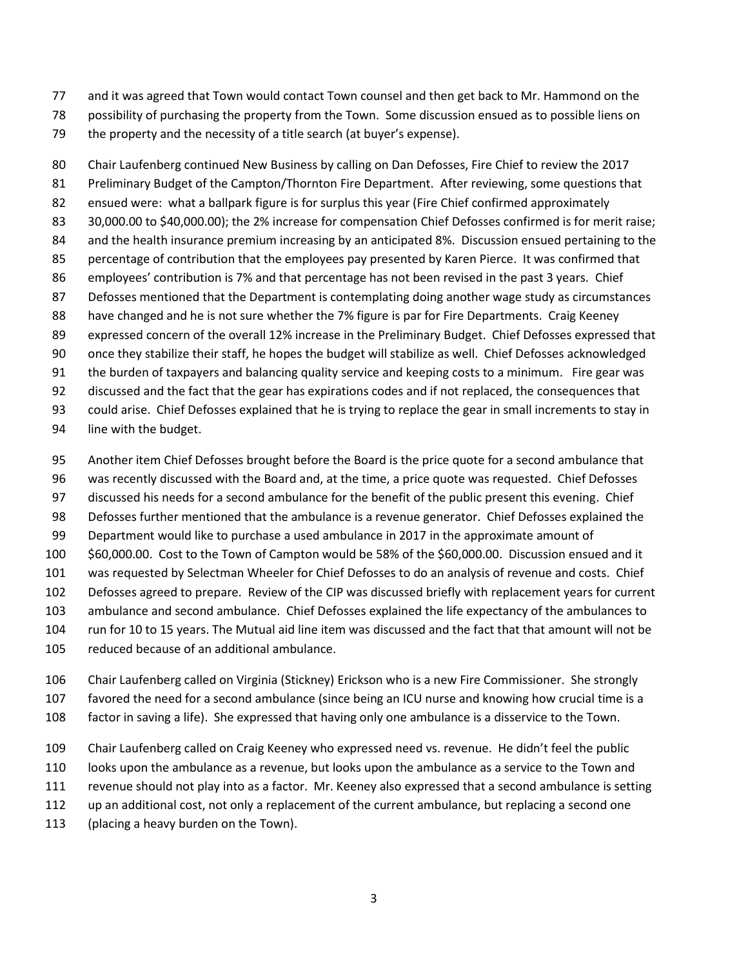- and it was agreed that Town would contact Town counsel and then get back to Mr. Hammond on the
- possibility of purchasing the property from the Town. Some discussion ensued as to possible liens on
- the property and the necessity of a title search (at buyer's expense).

 Chair Laufenberg continued New Business by calling on Dan Defosses, Fire Chief to review the 2017 81 Preliminary Budget of the Campton/Thornton Fire Department. After reviewing, some questions that ensued were: what a ballpark figure is for surplus this year (Fire Chief confirmed approximately 30,000.00 to \$40,000.00); the 2% increase for compensation Chief Defosses confirmed is for merit raise; 84 and the health insurance premium increasing by an anticipated 8%. Discussion ensued pertaining to the percentage of contribution that the employees pay presented by Karen Pierce. It was confirmed that employees' contribution is 7% and that percentage has not been revised in the past 3 years. Chief Defosses mentioned that the Department is contemplating doing another wage study as circumstances 88 have changed and he is not sure whether the 7% figure is par for Fire Departments. Craig Keeney expressed concern of the overall 12% increase in the Preliminary Budget. Chief Defosses expressed that once they stabilize their staff, he hopes the budget will stabilize as well. Chief Defosses acknowledged the burden of taxpayers and balancing quality service and keeping costs to a minimum. Fire gear was discussed and the fact that the gear has expirations codes and if not replaced, the consequences that could arise. Chief Defosses explained that he is trying to replace the gear in small increments to stay in

- line with the budget.
- Another item Chief Defosses brought before the Board is the price quote for a second ambulance that
- was recently discussed with the Board and, at the time, a price quote was requested. Chief Defosses
- discussed his needs for a second ambulance for the benefit of the public present this evening. Chief
- Defosses further mentioned that the ambulance is a revenue generator. Chief Defosses explained the
- Department would like to purchase a used ambulance in 2017 in the approximate amount of
- \$60,000.00. Cost to the Town of Campton would be 58% of the \$60,000.00. Discussion ensued and it
- was requested by Selectman Wheeler for Chief Defosses to do an analysis of revenue and costs. Chief
- Defosses agreed to prepare. Review of the CIP was discussed briefly with replacement years for current
- ambulance and second ambulance. Chief Defosses explained the life expectancy of the ambulances to
- run for 10 to 15 years. The Mutual aid line item was discussed and the fact that that amount will not be
	- reduced because of an additional ambulance.
	- Chair Laufenberg called on Virginia (Stickney) Erickson who is a new Fire Commissioner. She strongly favored the need for a second ambulance (since being an ICU nurse and knowing how crucial time is a
	- factor in saving a life). She expressed that having only one ambulance is a disservice to the Town.
	- Chair Laufenberg called on Craig Keeney who expressed need vs. revenue. He didn't feel the public
	- looks upon the ambulance as a revenue, but looks upon the ambulance as a service to the Town and
	- revenue should not play into as a factor. Mr. Keeney also expressed that a second ambulance is setting
	- up an additional cost, not only a replacement of the current ambulance, but replacing a second one
	- (placing a heavy burden on the Town).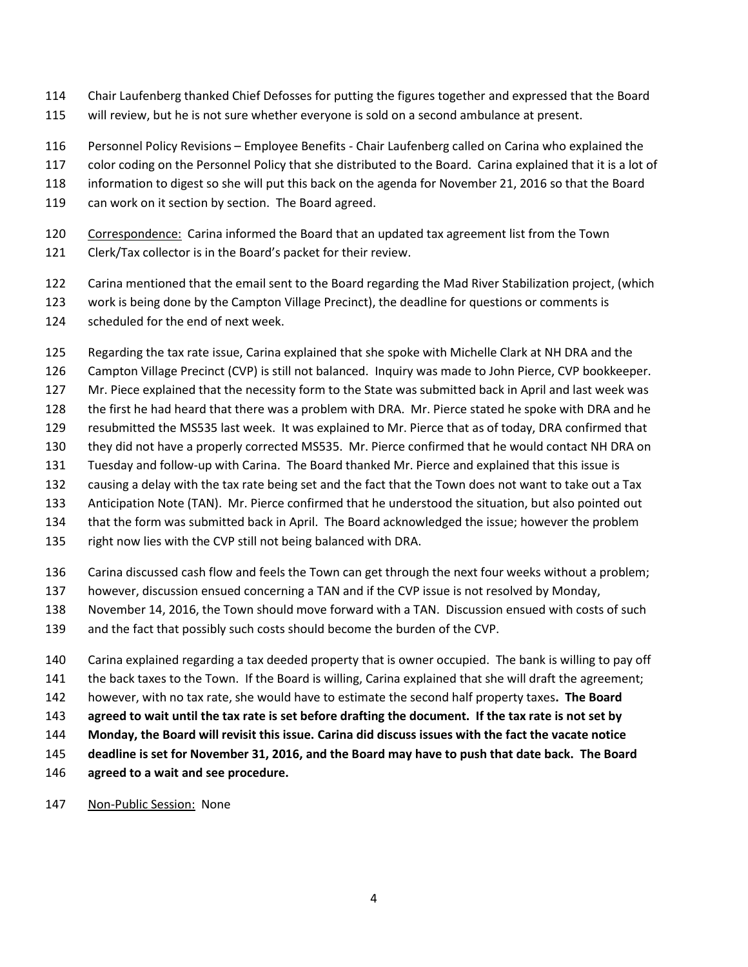- Chair Laufenberg thanked Chief Defosses for putting the figures together and expressed that the Board
- will review, but he is not sure whether everyone is sold on a second ambulance at present.
- Personnel Policy Revisions Employee Benefits Chair Laufenberg called on Carina who explained the
- color coding on the Personnel Policy that she distributed to the Board. Carina explained that it is a lot of
- information to digest so she will put this back on the agenda for November 21, 2016 so that the Board
- 119 can work on it section by section. The Board agreed.
- 120 Correspondence: Carina informed the Board that an updated tax agreement list from the Town
- Clerk/Tax collector is in the Board's packet for their review.
- Carina mentioned that the email sent to the Board regarding the Mad River Stabilization project, (which
- work is being done by the Campton Village Precinct), the deadline for questions or comments is
- scheduled for the end of next week.
- Regarding the tax rate issue, Carina explained that she spoke with Michelle Clark at NH DRA and the
- Campton Village Precinct (CVP) is still not balanced. Inquiry was made to John Pierce, CVP bookkeeper.
- Mr. Piece explained that the necessity form to the State was submitted back in April and last week was
- the first he had heard that there was a problem with DRA. Mr. Pierce stated he spoke with DRA and he
- resubmitted the MS535 last week. It was explained to Mr. Pierce that as of today, DRA confirmed that
- they did not have a properly corrected MS535. Mr. Pierce confirmed that he would contact NH DRA on
- Tuesday and follow-up with Carina. The Board thanked Mr. Pierce and explained that this issue is
- causing a delay with the tax rate being set and the fact that the Town does not want to take out a Tax
- Anticipation Note (TAN). Mr. Pierce confirmed that he understood the situation, but also pointed out
- that the form was submitted back in April. The Board acknowledged the issue; however the problem
- right now lies with the CVP still not being balanced with DRA.
- Carina discussed cash flow and feels the Town can get through the next four weeks without a problem;
- however, discussion ensued concerning a TAN and if the CVP issue is not resolved by Monday,
- November 14, 2016, the Town should move forward with a TAN. Discussion ensued with costs of such
- and the fact that possibly such costs should become the burden of the CVP.
- Carina explained regarding a tax deeded property that is owner occupied. The bank is willing to pay off
- the back taxes to the Town. If the Board is willing, Carina explained that she will draft the agreement;
- however, with no tax rate, she would have to estimate the second half property taxes**. The Board**
- **agreed to wait until the tax rate is set before drafting the document. If the tax rate is not set by**
- **Monday, the Board will revisit this issue. Carina did discuss issues with the fact the vacate notice**
- **deadline is set for November 31, 2016, and the Board may have to push that date back. The Board**
- **agreed to a wait and see procedure.**
- 147 Non-Public Session: None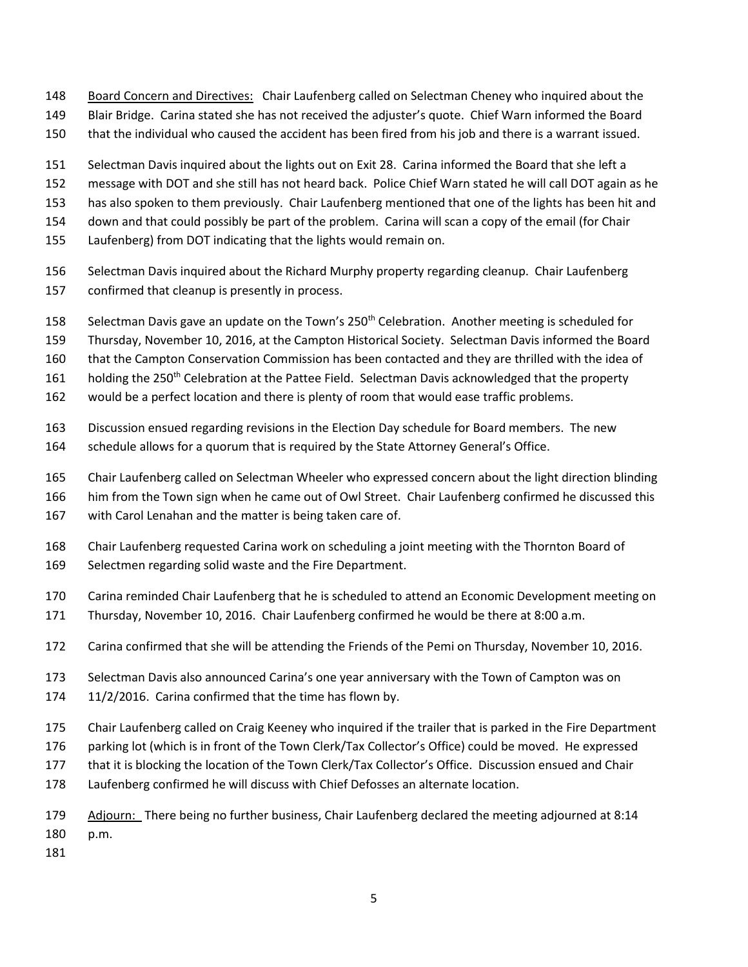- Board Concern and Directives: Chair Laufenberg called on Selectman Cheney who inquired about the
- Blair Bridge. Carina stated she has not received the adjuster's quote. Chief Warn informed the Board
- that the individual who caused the accident has been fired from his job and there is a warrant issued.
- Selectman Davis inquired about the lights out on Exit 28. Carina informed the Board that she left a
- message with DOT and she still has not heard back. Police Chief Warn stated he will call DOT again as he
- has also spoken to them previously. Chair Laufenberg mentioned that one of the lights has been hit and
- down and that could possibly be part of the problem. Carina will scan a copy of the email (for Chair
- Laufenberg) from DOT indicating that the lights would remain on.
- Selectman Davis inquired about the Richard Murphy property regarding cleanup. Chair Laufenberg confirmed that cleanup is presently in process.
- 158 Selectman Davis gave an update on the Town's 250<sup>th</sup> Celebration. Another meeting is scheduled for
- Thursday, November 10, 2016, at the Campton Historical Society. Selectman Davis informed the Board
- that the Campton Conservation Commission has been contacted and they are thrilled with the idea of
- 161 holding the 250<sup>th</sup> Celebration at the Pattee Field. Selectman Davis acknowledged that the property
- would be a perfect location and there is plenty of room that would ease traffic problems.
- Discussion ensued regarding revisions in the Election Day schedule for Board members. The new
- schedule allows for a quorum that is required by the State Attorney General's Office.
- Chair Laufenberg called on Selectman Wheeler who expressed concern about the light direction blinding
- him from the Town sign when he came out of Owl Street. Chair Laufenberg confirmed he discussed this
- with Carol Lenahan and the matter is being taken care of.
- Chair Laufenberg requested Carina work on scheduling a joint meeting with the Thornton Board of Selectmen regarding solid waste and the Fire Department.
- Carina reminded Chair Laufenberg that he is scheduled to attend an Economic Development meeting on
- Thursday, November 10, 2016. Chair Laufenberg confirmed he would be there at 8:00 a.m.
- Carina confirmed that she will be attending the Friends of the Pemi on Thursday, November 10, 2016.
- Selectman Davis also announced Carina's one year anniversary with the Town of Campton was on
- 11/2/2016. Carina confirmed that the time has flown by.
- Chair Laufenberg called on Craig Keeney who inquired if the trailer that is parked in the Fire Department
- 176 parking lot (which is in front of the Town Clerk/Tax Collector's Office) could be moved. He expressed
- that it is blocking the location of the Town Clerk/Tax Collector's Office. Discussion ensued and Chair
- Laufenberg confirmed he will discuss with Chief Defosses an alternate location.
- Adjourn: There being no further business, Chair Laufenberg declared the meeting adjourned at 8:14 p.m.
- 
-